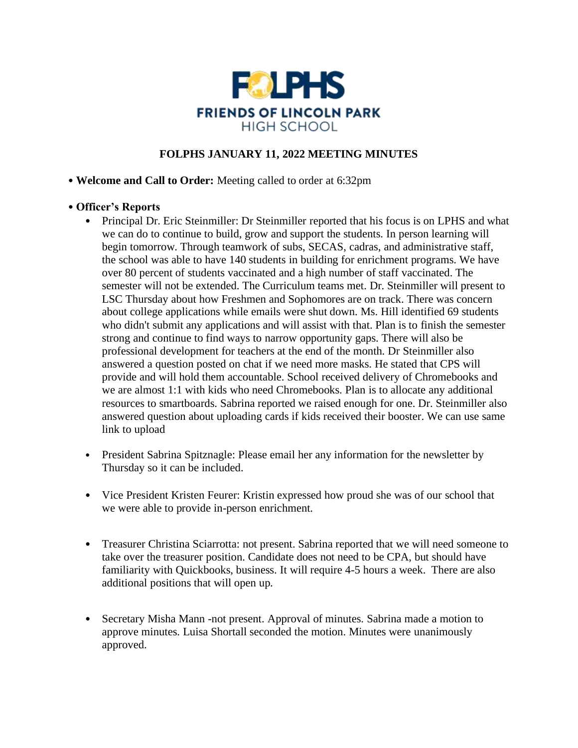

# **FOLPHS JANUARY 11, 2022 MEETING MINUTES**

### • **Welcome and Call to Order:** Meeting called to order at 6:32pm

## • **Officer's Reports**

- Principal Dr. Eric Steinmiller: Dr Steinmiller reported that his focus is on LPHS and what we can do to continue to build, grow and support the students. In person learning will begin tomorrow. Through teamwork of subs, SECAS, cadras, and administrative staff, the school was able to have 140 students in building for enrichment programs. We have over 80 percent of students vaccinated and a high number of staff vaccinated. The semester will not be extended. The Curriculum teams met. Dr. Steinmiller will present to LSC Thursday about how Freshmen and Sophomores are on track. There was concern about college applications while emails were shut down. Ms. Hill identified 69 students who didn't submit any applications and will assist with that. Plan is to finish the semester strong and continue to find ways to narrow opportunity gaps. There will also be professional development for teachers at the end of the month. Dr Steinmiller also answered a question posted on chat if we need more masks. He stated that CPS will provide and will hold them accountable. School received delivery of Chromebooks and we are almost 1:1 with kids who need Chromebooks. Plan is to allocate any additional resources to smartboards. Sabrina reported we raised enough for one. Dr. Steinmiller also answered question about uploading cards if kids received their booster. We can use same link to upload
- President Sabrina Spitznagle: Please email her any information for the newsletter by Thursday so it can be included.
- Vice President Kristen Feurer: Kristin expressed how proud she was of our school that we were able to provide in-person enrichment.
- Treasurer Christina Sciarrotta: not present. Sabrina reported that we will need someone to take over the treasurer position. Candidate does not need to be CPA, but should have familiarity with Quickbooks, business. It will require 4-5 hours a week. There are also additional positions that will open up.
- Secretary Misha Mann -not present. Approval of minutes. Sabrina made a motion to approve minutes. Luisa Shortall seconded the motion. Minutes were unanimously approved.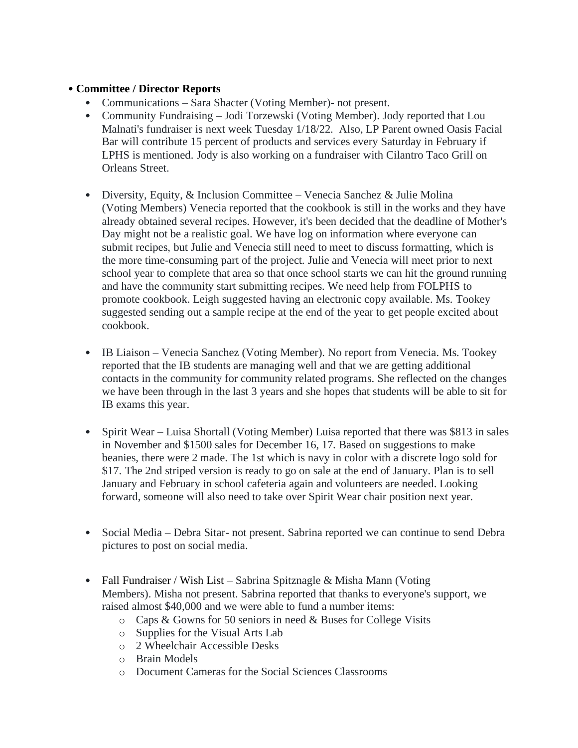## • **Committee / Director Reports**

- Communications Sara Shacter (Voting Member)- not present.
- Community Fundraising Jodi Torzewski (Voting Member). Jody reported that Lou Malnati's fundraiser is next week Tuesday 1/18/22. Also, LP Parent owned Oasis Facial Bar will contribute 15 percent of products and services every Saturday in February if LPHS is mentioned. Jody is also working on a fundraiser with Cilantro Taco Grill on Orleans Street.
- Diversity, Equity, & Inclusion Committee Venecia Sanchez & Julie Molina (Voting Members) Venecia reported that the cookbook is still in the works and they have already obtained several recipes. However, it's been decided that the deadline of Mother's Day might not be a realistic goal. We have log on information where everyone can submit recipes, but Julie and Venecia still need to meet to discuss formatting, which is the more time-consuming part of the project. Julie and Venecia will meet prior to next school year to complete that area so that once school starts we can hit the ground running and have the community start submitting recipes. We need help from FOLPHS to promote cookbook. Leigh suggested having an electronic copy available. Ms. Tookey suggested sending out a sample recipe at the end of the year to get people excited about cookbook.
- IB Liaison Venecia Sanchez (Voting Member). No report from Venecia. Ms. Tookey reported that the IB students are managing well and that we are getting additional contacts in the community for community related programs. She reflected on the changes we have been through in the last 3 years and she hopes that students will be able to sit for IB exams this year.
- Spirit Wear Luisa Shortall (Voting Member) Luisa reported that there was \$813 in sales in November and \$1500 sales for December 16, 17. Based on suggestions to make beanies, there were 2 made. The 1st which is navy in color with a discrete logo sold for \$17. The 2nd striped version is ready to go on sale at the end of January. Plan is to sell January and February in school cafeteria again and volunteers are needed. Looking forward, someone will also need to take over Spirit Wear chair position next year.
- Social Media Debra Sitar- not present. Sabrina reported we can continue to send Debra pictures to post on social media.
- Fall Fundraiser / Wish List Sabrina Spitznagle & Misha Mann (Voting Members). Misha not present. Sabrina reported that thanks to everyone's support, we raised almost \$40,000 and we were able to fund a number items:
	- o Caps & Gowns for 50 seniors in need & Buses for College Visits
	- o Supplies for the Visual Arts Lab
	- o 2 Wheelchair Accessible Desks
	- o Brain Models
	- o Document Cameras for the Social Sciences Classrooms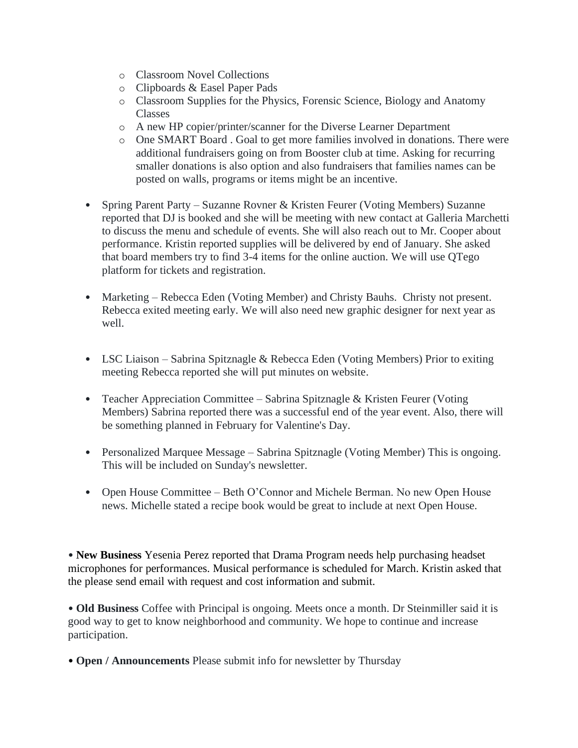- o Classroom Novel Collections
- o Clipboards & Easel Paper Pads
- o Classroom Supplies for the Physics, Forensic Science, Biology and Anatomy Classes
- o A new HP copier/printer/scanner for the Diverse Learner Department
- o One SMART Board . Goal to get more families involved in donations. There were additional fundraisers going on from Booster club at time. Asking for recurring smaller donations is also option and also fundraisers that families names can be posted on walls, programs or items might be an incentive.
- Spring Parent Party Suzanne Rovner & Kristen Feurer (Voting Members) Suzanne reported that DJ is booked and she will be meeting with new contact at Galleria Marchetti to discuss the menu and schedule of events. She will also reach out to Mr. Cooper about performance. Kristin reported supplies will be delivered by end of January. She asked that board members try to find 3-4 items for the online auction. We will use QTego platform for tickets and registration.
- Marketing Rebecca Eden (Voting Member) and Christy Bauhs. Christy not present. Rebecca exited meeting early. We will also need new graphic designer for next year as well.
- LSC Liaison Sabrina Spitznagle & Rebecca Eden (Voting Members) Prior to exiting meeting Rebecca reported she will put minutes on website.
- Teacher Appreciation Committee Sabrina Spitznagle & Kristen Feurer (Voting Members) Sabrina reported there was a successful end of the year event. Also, there will be something planned in February for Valentine's Day.
- Personalized Marquee Message Sabrina Spitznagle (Voting Member) This is ongoing. This will be included on Sunday's newsletter.
- Open House Committee Beth O'Connor and Michele Berman. No new Open House news. Michelle stated a recipe book would be great to include at next Open House.

• **New Business** Yesenia Perez reported that Drama Program needs help purchasing headset microphones for performances. Musical performance is scheduled for March. Kristin asked that the please send email with request and cost information and submit.

• **Old Business** Coffee with Principal is ongoing. Meets once a month. Dr Steinmiller said it is good way to get to know neighborhood and community. We hope to continue and increase participation.

• **Open / Announcements** Please submit info for newsletter by Thursday